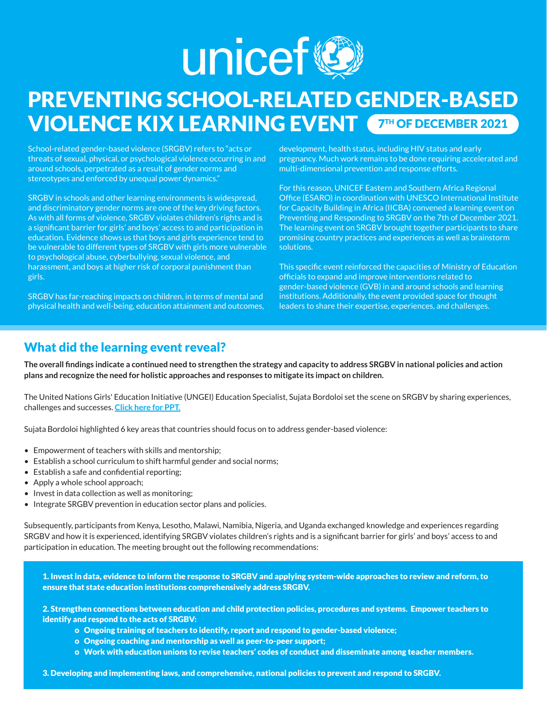

# PREVENTING SCHOOL-RELATED GENDER-BASED **VIOLENCE KIX LEARNING EVENT TH OF DECEMBER 2021**

School-related gender-based violence (SRGBV) refers to "acts or threats of sexual, physical, or psychological violence occurring in and around schools, perpetrated as a result of gender norms and stereotypes and enforced by unequal power dynamics."

SRGBV in schools and other learning environments is widespread, and discriminatory gender norms are one of the key driving factors. As with all forms of violence, SRGBV violates children's rights and is a significant barrier for girls' and boys' access to and participation in education. Evidence shows us that boys and girls experience tend to be vulnerable to different types of SRGBV with girls more vulnerable to psychological abuse, cyberbullying, sexual violence, and harassment, and boys at higher risk of corporal punishment than girls.

SRGBV has far-reaching impacts on children, in terms of mental and physical health and well-being, education attainment and outcomes, development, health status, including HIV status and early pregnancy. Much work remains to be done requiring accelerated and multi-dimensional prevention and response efforts.

For this reason, UNICEF Eastern and Southern Africa Regional Office (ESARO) in coordination with UNESCO International Institute for Capacity Building in Africa (IICBA) convened a learning event on Preventing and Responding to SRGBV on the 7th of December 2021. The learning event on SRGBV brought together participants to share promising country practices and experiences as well as brainstorm solutions.

This specific event reinforced the capacities of Ministry of Education officials to expand and improve interventions related to gender-based violence (GVB) in and around schools and learning institutions. Additionally, the event provided space for thought leaders to share their expertise, experiences, and challenges.

### What did the learning event reveal?

**The overall findings indicate a continued need to strengthen the strategy and capacity to address SRGBV in national policies and action plans and recognize the need for holistic approaches and responses to mitigate its impact on children.** 

The United Nations Girls' Education Initiative (UNGEI) Education Specialist, Sujata Bordoloi set the scene on SRGBV by sharing experiences, challenges and successes. **[Click here for PPT.](https://drive.google.com/uc?id=1aptDij79eetkyGTXy8ztIULcL6KAgJu0&export=download)**

Sujata Bordoloi highlighted 6 key areas that countries should focus on to address gender-based violence:

- Empowerment of teachers with skills and mentorship;
- Establish a school curriculum to shift harmful gender and social norms;
- Establish a safe and confidential reporting;
- Apply a whole school approach;
- Invest in data collection as well as monitoring:
- Integrate SRGBV prevention in education sector plans and policies.

Subsequently, participants from Kenya, Lesotho, Malawi, Namibia, Nigeria, and Uganda exchanged knowledge and experiences regarding SRGBV and how it is experienced, identifying SRGBV violates children's rights and is a significant barrier for girls' and boys' access to and participation in education. The meeting brought out the following recommendations:

1. Invest in data, evidence to inform the response to SRGBV and applying system-wide approaches to review and reform, to ensure that state education institutions comprehensively address SRGBV.

2. Strengthen connections between education and child protection policies, procedures and systems. Empower teachers to identify and respond to the acts of SRGBV:

- o Ongoing training of teachers to identify, report and respond to gender-based violence;
- o Ongoing coaching and mentorship as well as peer-to-peer support;
- o Work with education unions to revise teachers' codes of conduct and disseminate among teacher members.

3. Developing and implementing laws, and comprehensive, national policies to prevent and respond to SRGBV.